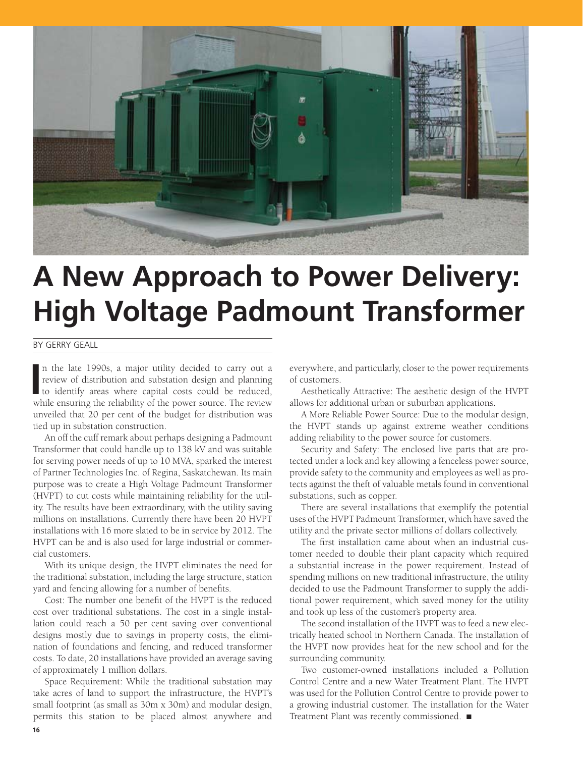

# **A New Approach to Power Delivery: High Voltage Padmount Transformer**

#### By Gerry Geall

In the late 1990s, a major utility decided to carry out a review of distribution and substation design and planning to identify areas where capital costs could be reduced, while approximate the majority of the narrow saure n the late 1990s, a major utility decided to carry out a review of distribution and substation design and planning while ensuring the reliability of the power source. The review unveiled that 20 per cent of the budget for distribution was tied up in substation construction.

An off the cuff remark about perhaps designing a Padmount Transformer that could handle up to 138 kV and was suitable for serving power needs of up to 10 MVA, sparked the interest of Partner Technologies Inc. of Regina, Saskatchewan. Its main purpose was to create a High Voltage Padmount Transformer (HVPT) to cut costs while maintaining reliability for the utility. The results have been extraordinary, with the utility saving millions on installations. Currently there have been 20 HVPT installations with 16 more slated to be in service by 2012. The HVPT can be and is also used for large industrial or commercial customers.

With its unique design, the HVPT eliminates the need for the traditional substation, including the large structure, station yard and fencing allowing for a number of benefits.

Cost: The number one benefit of the HVPT is the reduced cost over traditional substations. The cost in a single installation could reach a 50 per cent saving over conventional designs mostly due to savings in property costs, the elimination of foundations and fencing, and reduced transformer costs. To date, 20 installations have provided an average saving of approximately 1 million dollars.

Space Requirement: While the traditional substation may take acres of land to support the infrastructure, the HVPT's small footprint (as small as 30m x 30m) and modular design, permits this station to be placed almost anywhere and

everywhere, and particularly, closer to the power requirements of customers.

Aesthetically Attractive: The aesthetic design of the HVPT allows for additional urban or suburban applications.

A More Reliable Power Source: Due to the modular design, the HVPT stands up against extreme weather conditions adding reliability to the power source for customers.

Security and Safety: The enclosed live parts that are protected under a lock and key allowing a fenceless power source, provide safety to the community and employees as well as protects against the theft of valuable metals found in conventional substations, such as copper.

There are several installations that exemplify the potential uses of the HVPT Padmount Transformer, which have saved the utility and the private sector millions of dollars collectively.

The first installation came about when an industrial customer needed to double their plant capacity which required a substantial increase in the power requirement. Instead of spending millions on new traditional infrastructure, the utility decided to use the Padmount Transformer to supply the additional power requirement, which saved money for the utility and took up less of the customer's property area.

The second installation of the HVPT was to feed a new electrically heated school in Northern Canada. The installation of the HVPT now provides heat for the new school and for the surrounding community.

Two customer-owned installations included a Pollution Control Centre and a new Water Treatment Plant. The HVPT was used for the Pollution Control Centre to provide power to a growing industrial customer. The installation for the Water Treatment Plant was recently commissioned.  $\blacksquare$